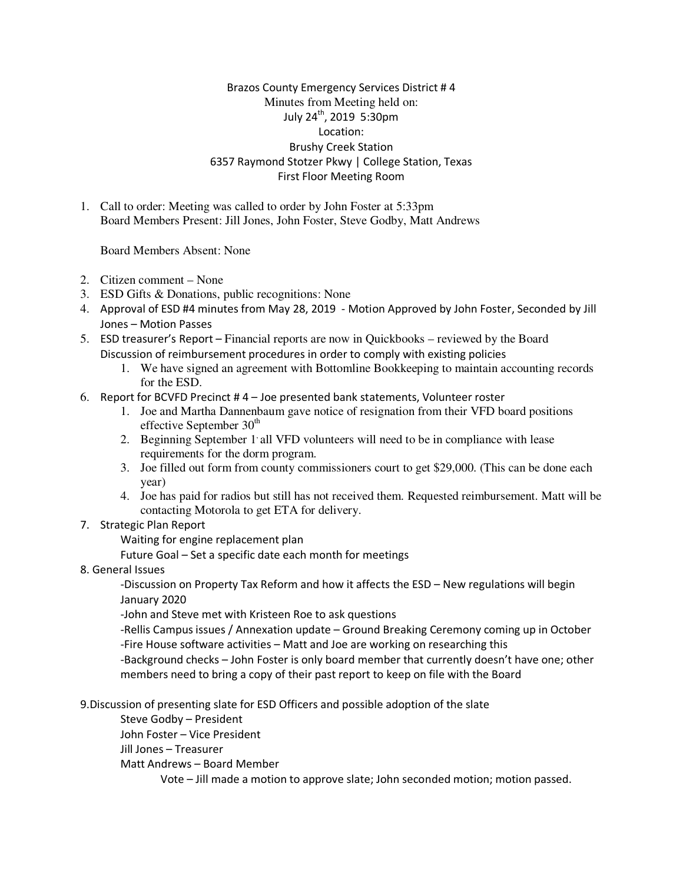## Brazos County Emergency Services District # 4 Minutes from Meeting held on: July 24th, 2019 5:30pm Location: Brushy Creek Station 6357 Raymond Stotzer Pkwy | College Station, Texas First Floor Meeting Room

1. Call to order: Meeting was called to order by John Foster at 5:33pm Board Members Present: Jill Jones, John Foster, Steve Godby, Matt Andrews

Board Members Absent: None

- 2. Citizen comment None
- 3. ESD Gifts & Donations, public recognitions: None
- 4. Approval of ESD #4 minutes from May 28, 2019 Motion Approved by John Foster, Seconded by Jill Jones – Motion Passes
- 5. ESD treasurer's Report Financial reports are now in Quickbooks reviewed by the Board Discussion of reimbursement procedures in order to comply with existing policies
	- 1. We have signed an agreement with Bottomline Bookkeeping to maintain accounting records for the ESD.
- 6. Report for BCVFD Precinct  $#4 -$  Joe presented bank statements, Volunteer roster
	- 1. Joe and Martha Dannenbaum gave notice of resignation from their VFD board positions effective September  $30<sup>th</sup>$
	- 2. Beginning September 1 all VFD volunteers will need to be in compliance with lease requirements for the dorm program.
	- 3. Joe filled out form from county commissioners court to get \$29,000. (This can be done each year)
	- 4. Joe has paid for radios but still has not received them. Requested reimbursement. Matt will be contacting Motorola to get ETA for delivery.
- 7. Strategic Plan Report

Waiting for engine replacement plan

Future Goal – Set a specific date each month for meetings

8. General Issues

-Discussion on Property Tax Reform and how it affects the ESD – New regulations will begin January 2020

-John and Steve met with Kristeen Roe to ask questions

-Rellis Campus issues / Annexation update – Ground Breaking Ceremony coming up in October -Fire House software activities – Matt and Joe are working on researching this

-Background checks – John Foster is only board member that currently doesn't have one; other members need to bring a copy of their past report to keep on file with the Board

9.Discussion of presenting slate for ESD Officers and possible adoption of the slate

Steve Godby – President

John Foster – Vice President

Jill Jones – Treasurer

Matt Andrews – Board Member

Vote – Jill made a motion to approve slate; John seconded motion; motion passed.